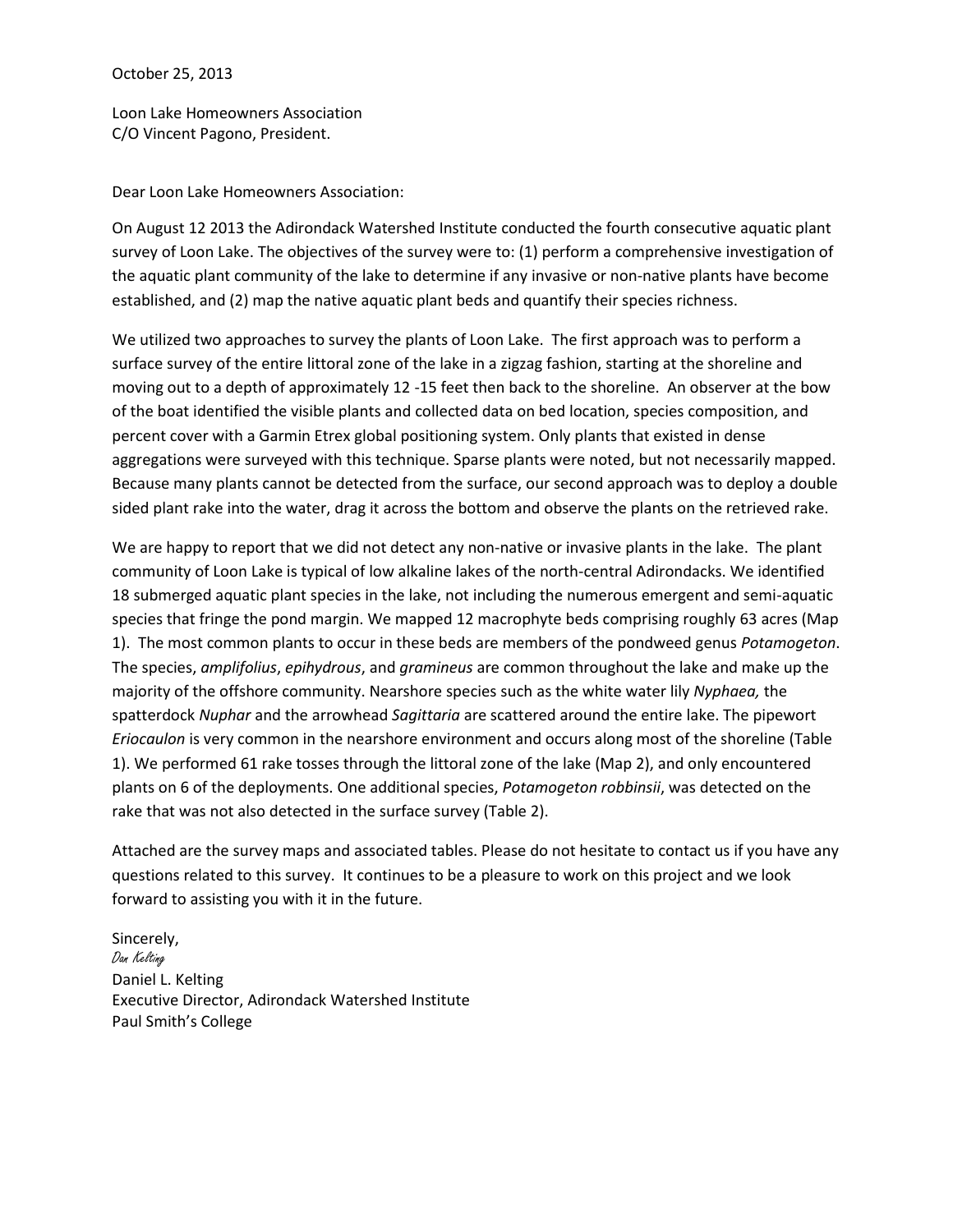## October 25, 2013

Loon Lake Homeowners Association C/O Vincent Pagono, President.

Dear Loon Lake Homeowners Association:

On August 12 2013 the Adirondack Watershed Institute conducted the fourth consecutive aquatic plant survey of Loon Lake. The objectives of the survey were to: (1) perform a comprehensive investigation of the aquatic plant community of the lake to determine if any invasive or non-native plants have become established, and (2) map the native aquatic plant beds and quantify their species richness.

We utilized two approaches to survey the plants of Loon Lake. The first approach was to perform a surface survey of the entire littoral zone of the lake in a zigzag fashion, starting at the shoreline and moving out to a depth of approximately 12 -15 feet then back to the shoreline. An observer at the bow of the boat identified the visible plants and collected data on bed location, species composition, and percent cover with a Garmin Etrex global positioning system. Only plants that existed in dense aggregations were surveyed with this technique. Sparse plants were noted, but not necessarily mapped. Because many plants cannot be detected from the surface, our second approach was to deploy a double sided plant rake into the water, drag it across the bottom and observe the plants on the retrieved rake.

We are happy to report that we did not detect any non-native or invasive plants in the lake. The plant community of Loon Lake is typical of low alkaline lakes of the north-central Adirondacks. We identified 18 submerged aquatic plant species in the lake, not including the numerous emergent and semi-aquatic species that fringe the pond margin. We mapped 12 macrophyte beds comprising roughly 63 acres (Map 1). The most common plants to occur in these beds are members of the pondweed genus *Potamogeton*. The species, *amplifolius*, *epihydrous*, and *gramineus* are common throughout the lake and make up the majority of the offshore community. Nearshore species such as the white water lily *Nyphaea,* the spatterdock *Nuphar* and the arrowhead *Sagittaria* are scattered around the entire lake. The pipewort *Eriocaulon* is very common in the nearshore environment and occurs along most of the shoreline (Table 1). We performed 61 rake tosses through the littoral zone of the lake (Map 2), and only encountered plants on 6 of the deployments. One additional species, *Potamogeton robbinsii*, was detected on the rake that was not also detected in the surface survey (Table 2).

Attached are the survey maps and associated tables. Please do not hesitate to contact us if you have any questions related to this survey. It continues to be a pleasure to work on this project and we look forward to assisting you with it in the future.

Sincerely, Dan Kelting Daniel L. Kelting Executive Director, Adirondack Watershed Institute Paul Smith's College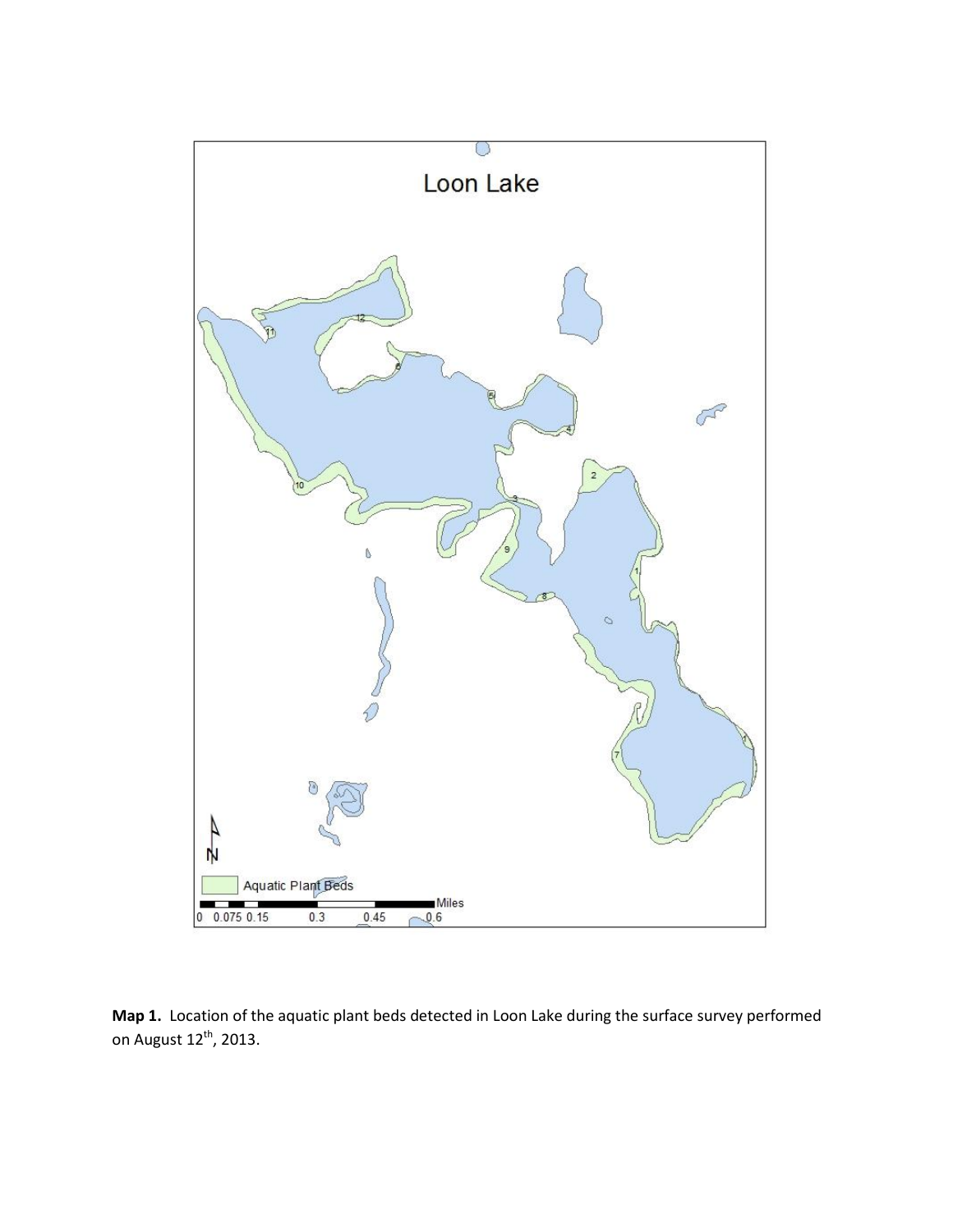

**Map 1.** Location of the aquatic plant beds detected in Loon Lake during the surface survey performed on August  $12^{th}$ , 2013.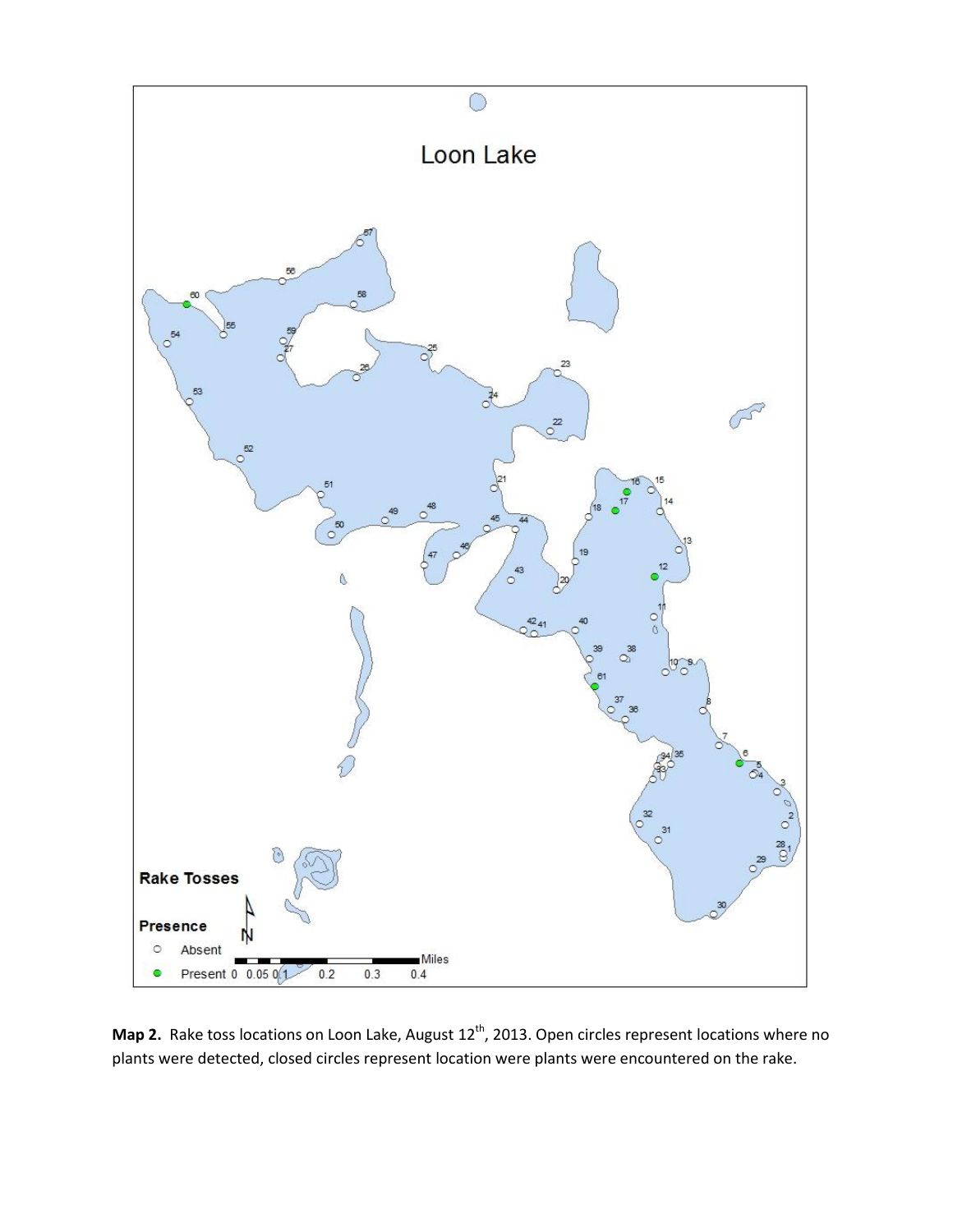

Map 2. Rake toss locations on Loon Lake, August 12<sup>th</sup>, 2013. Open circles represent locations where no plants were detected, closed circles represent location were plants were encountered on the rake.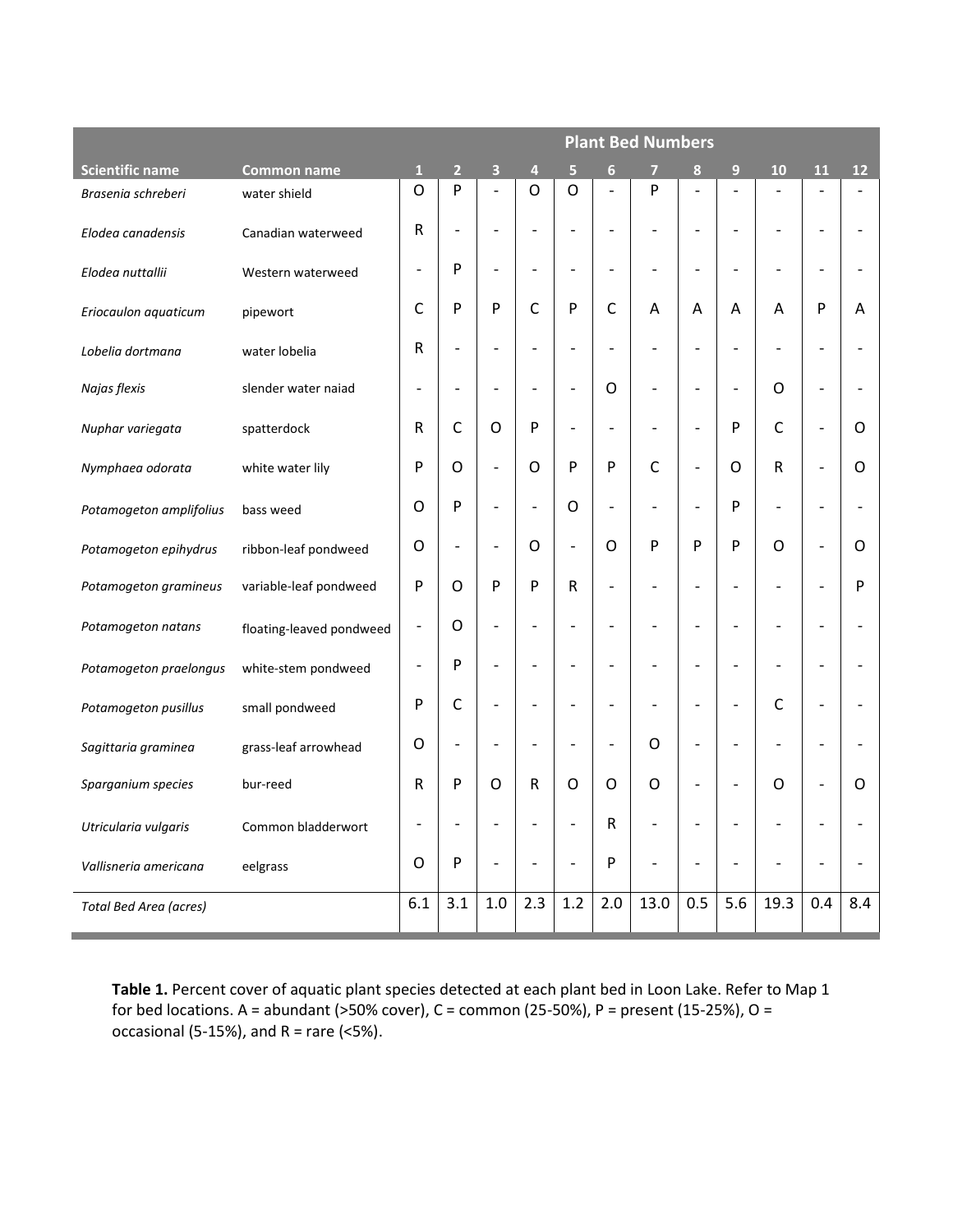|                         |                          | <b>Plant Bed Numbers</b> |                              |                          |                          |                              |                          |                          |                          |                              |                          |                              |                   |
|-------------------------|--------------------------|--------------------------|------------------------------|--------------------------|--------------------------|------------------------------|--------------------------|--------------------------|--------------------------|------------------------------|--------------------------|------------------------------|-------------------|
| <b>Scientific name</b>  | <b>Common name</b>       | $\mathbf{1}$             | $\overline{2}$               | $\overline{\mathbf{3}}$  | $\overline{4}$           | 5                            | 6                        | $\overline{7}$           | 8                        | $\overline{9}$               | 10                       | 11                           | $12 \overline{ }$ |
| Brasenia schreberi      | water shield             | O                        | P                            | $\overline{\phantom{a}}$ | O                        | $\mathsf{O}$                 | $\overline{a}$           | P                        | $\overline{a}$           | $\overline{a}$               |                          |                              |                   |
| Elodea canadensis       | Canadian waterweed       | ${\sf R}$                | $\qquad \qquad \blacksquare$ | $\overline{\phantom{a}}$ | $\overline{\phantom{m}}$ | $\qquad \qquad \blacksquare$ | $\overline{a}$           | $\overline{a}$           | $\overline{a}$           | $\overline{\phantom{a}}$     | $\overline{\phantom{a}}$ | $\overline{\phantom{a}}$     |                   |
| Elodea nuttallii        | Western waterweed        | $\overline{a}$           | P                            | $\overline{\phantom{a}}$ | $\overline{\phantom{a}}$ | $\overline{\phantom{m}}$     | $\overline{a}$           |                          | $\overline{a}$           | $\qquad \qquad \blacksquare$ | $\overline{a}$           | $\qquad \qquad \blacksquare$ |                   |
| Eriocaulon aquaticum    | pipewort                 | C                        | P                            | P                        | $\mathsf{C}$             | P                            | $\mathsf{C}$             | Α                        | А                        | A                            | A                        | P                            | A                 |
| Lobelia dortmana        | water lobelia            | ${\sf R}$                | $\qquad \qquad -$            | $\overline{\phantom{a}}$ | $\overline{\phantom{a}}$ | $\qquad \qquad -$            | $\overline{\phantom{a}}$ | $\overline{\phantom{a}}$ | $\overline{a}$           | $\overline{\phantom{a}}$     | $\overline{\phantom{a}}$ | $\overline{\phantom{a}}$     |                   |
| Najas flexis            | slender water naiad      | $\overline{\phantom{0}}$ | $\overline{\phantom{a}}$     | $\overline{\phantom{a}}$ | $\overline{\phantom{a}}$ | $\overline{\phantom{m}}$     | O                        |                          | $\overline{a}$           | $\overline{\phantom{a}}$     | O                        | $\overline{\phantom{0}}$     |                   |
| Nuphar variegata        | spatterdock              | R                        | $\mathsf{C}$                 | $\mathsf{O}$             | P                        | $\qquad \qquad \blacksquare$ |                          |                          | $\overline{a}$           | P                            | $\mathsf{C}$             | $\overline{\phantom{m}}$     | O                 |
| Nymphaea odorata        | white water lily         | P                        | $\circ$                      | $\overline{\phantom{a}}$ | O                        | P                            | P                        | $\mathsf{C}$             | $\overline{\phantom{a}}$ | O                            | ${\sf R}$                | $\overline{a}$               | O                 |
| Potamogeton amplifolius | bass weed                | O                        | P                            | $\overline{\phantom{a}}$ | $\overline{\phantom{a}}$ | $\circ$                      | $\overline{\phantom{0}}$ |                          | $\overline{\phantom{0}}$ | P                            | $\overline{\phantom{a}}$ | $\overline{\phantom{a}}$     |                   |
| Potamogeton epihydrus   | ribbon-leaf pondweed     | O                        | $\qquad \qquad -$            | $\blacksquare$           | O                        | $\overline{\phantom{0}}$     | O                        | P                        | P                        | P                            | $\circ$                  | $\qquad \qquad \blacksquare$ | O                 |
| Potamogeton gramineus   | variable-leaf pondweed   | P                        | $\circ$                      | P                        | P                        | $\mathsf R$                  | $\overline{a}$           | $\overline{a}$           | $\overline{a}$           | $\overline{a}$               | $\overline{a}$           | $\overline{\phantom{0}}$     | P                 |
| Potamogeton natans      | floating-leaved pondweed | $\overline{a}$           | O                            | $\qquad \qquad -$        | $\qquad \qquad -$        | $\overline{a}$               |                          |                          |                          | $\overline{a}$               | $\overline{a}$           | $\qquad \qquad \blacksquare$ |                   |
| Potamogeton praelongus  | white-stem pondweed      | $\overline{\phantom{0}}$ | P                            | $\overline{\phantom{m}}$ | $\overline{\phantom{a}}$ | $\overline{\phantom{a}}$     |                          |                          |                          | $\overline{a}$               |                          | $\overline{\phantom{a}}$     |                   |
| Potamogeton pusillus    | small pondweed           | P                        | $\mathsf C$                  | $\frac{1}{2}$            | $\overline{\phantom{a}}$ | $\qquad \qquad \blacksquare$ | $\overline{a}$           |                          | $\overline{a}$           | $\blacksquare$               | $\mathsf{C}$             | $\qquad \qquad \blacksquare$ |                   |
| Sagittaria graminea     | grass-leaf arrowhead     | O                        | $\qquad \qquad -$            | $\overline{\phantom{a}}$ | $\overline{\phantom{a}}$ | $\overline{a}$               | $\overline{\phantom{0}}$ | O                        | $\overline{a}$           | $\qquad \qquad \blacksquare$ |                          | $\qquad \qquad \blacksquare$ |                   |
| Sparganium species      | bur-reed                 | R                        | P                            | O                        | ${\sf R}$                | $\mathsf{O}$                 | O                        | O                        | $\overline{a}$           | $\overline{\phantom{a}}$     | O                        | $\overline{\phantom{0}}$     | O                 |
| Utricularia vulgaris    | Common bladderwort       | $\overline{\phantom{0}}$ | $\qquad \qquad \blacksquare$ | $\overline{\phantom{a}}$ | $\overline{\phantom{a}}$ | $\overline{\phantom{m}}$     | R                        | $\overline{a}$           | $\overline{a}$           | $\overline{a}$               | $\overline{\phantom{a}}$ | $\overline{a}$               |                   |
| Vallisneria americana   | eelgrass                 | O                        | P                            | $\overline{\phantom{a}}$ | $\overline{\phantom{a}}$ | $\overline{a}$               | P                        |                          |                          |                              |                          |                              |                   |
| Total Bed Area (acres)  |                          | 6.1                      | 3.1                          | 1.0                      | 2.3                      | 1.2                          | 2.0                      | 13.0                     | 0.5                      | 5.6                          | 19.3                     | 0.4                          | 8.4               |

**Table 1.** Percent cover of aquatic plant species detected at each plant bed in Loon Lake. Refer to Map 1 for bed locations. A = abundant (>50% cover), C = common (25-50%), P = present (15-25%), O = occasional (5-15%), and  $R =$  rare (<5%).